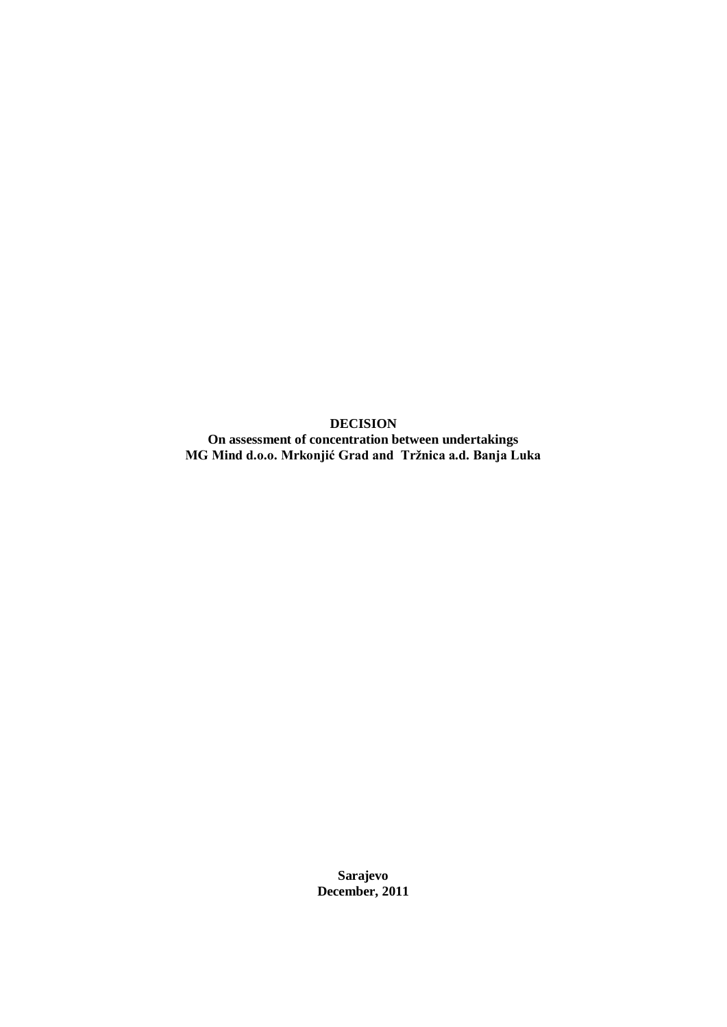**DECISION On assessment of concentration between undertakings MG Mind d.o.o. Mrkonjić Grad and Tržnica a.d. Banja Luka**

> **Sarajevo December, 2011**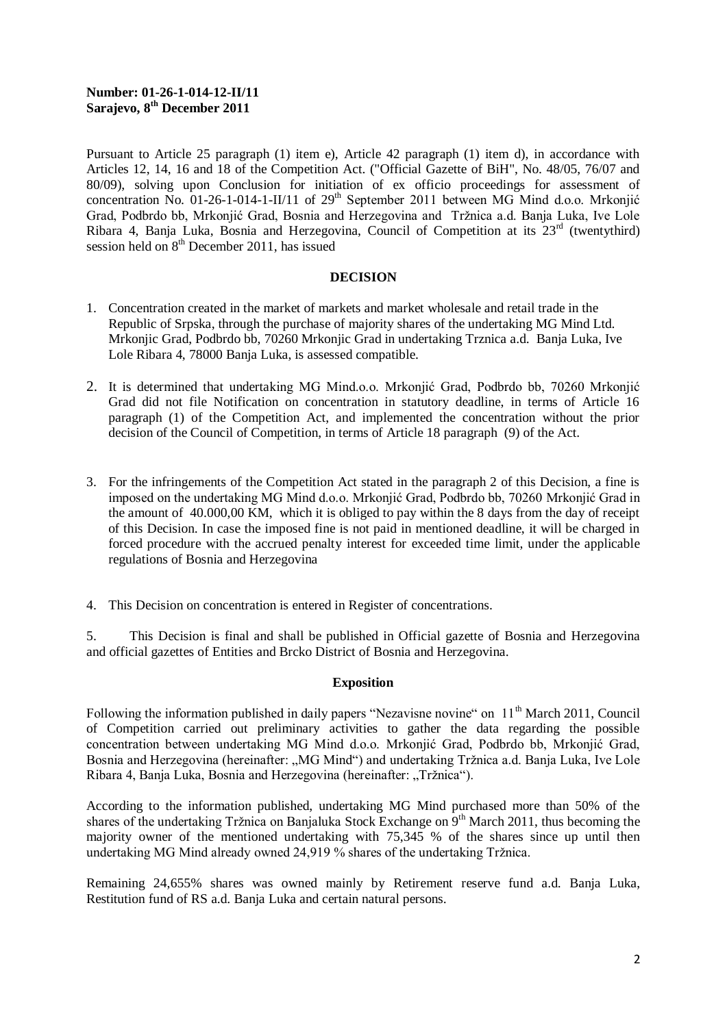## **Number: 01-26-1-014-12-II/11 Sarajevo, 8th December 2011**

Pursuant to Article 25 paragraph (1) item e), Article 42 paragraph (1) item d), in accordance with Articles 12, 14, 16 and 18 of the Competition Act. ("Official Gazette of BiH", No. 48/05, 76/07 and 80/09), solving upon Conclusion for initiation of ex officio proceedings for assessment of concentration No. 01-26-1-014-1-II/11 of  $29<sup>th</sup>$  September 2011 between MG Mind d.o.o. Mrkonjić Grad, Podbrdo bb, Mrkonjić Grad, Bosnia and Herzegovina and Tržnica a.d. Banja Luka, Ive Lole Ribara 4, Banja Luka, Bosnia and Herzegovina, Council of Competition at its  $23<sup>rd</sup>$  (twentythird) session held on  $8<sup>th</sup>$  December 2011, has issued

#### **DECISION**

- 1. Concentration created in the market of markets and market wholesale and retail trade in the Republic of Srpska, through the purchase of majority shares of the undertaking MG Mind Ltd. Mrkonjic Grad, Podbrdo bb, 70260 Mrkonjic Grad in undertaking Trznica a.d. Banja Luka, Ive Lole Ribara 4, 78000 Banja Luka, is assessed compatible.
- 2. It is determined that undertaking MG Mind.o.o. Mrkonjić Grad, Podbrdo bb, 70260 Mrkonjić Grad did not file Notification on concentration in statutory deadline, in terms of Article 16 paragraph (1) of the Competition Act, and implemented the concentration without the prior decision of the Council of Competition, in terms of Article 18 paragraph (9) of the Act.
- 3. For the infringements of the Competition Act stated in the paragraph 2 of this Decision, a fine is imposed on the undertaking MG Mind d.o.o. Mrkonjić Grad, Podbrdo bb, 70260 Mrkonjić Grad in the amount of 40.000,00 KM, which it is obliged to pay within the 8 days from the day of receipt of this Decision. In case the imposed fine is not paid in mentioned deadline, it will be charged in forced procedure with the accrued penalty interest for exceeded time limit, under the applicable regulations of Bosnia and Herzegovina
- 4. This Decision on concentration is entered in Register of concentrations.

5. This Decision is final and shall be published in Official gazette of Bosnia and Herzegovina and official gazettes of Entities and Brcko District of Bosnia and Herzegovina.

# **Exposition**

Following the information published in daily papers "Nezavisne novine" on 11<sup>th</sup> March 2011, Council of Competition carried out preliminary activities to gather the data regarding the possible concentration between undertaking MG Mind d.o.o. Mrkonjić Grad, Podbrdo bb, Mrkonjić Grad, Bosnia and Herzegovina (hereinafter: "MG Mind") and undertaking Tržnica a.d. Banja Luka, Ive Lole Ribara 4, Banja Luka, Bosnia and Herzegovina (hereinafter: "Tržnica").

According to the information published, undertaking MG Mind purchased more than 50% of the shares of the undertaking Tržnica on Banjaluka Stock Exchange on  $9<sup>th</sup>$  March 2011, thus becoming the majority owner of the mentioned undertaking with 75,345 % of the shares since up until then undertaking MG Mind already owned 24,919 % shares of the undertaking Tržnica.

Remaining 24,655% shares was owned mainly by Retirement reserve fund a.d. Banja Luka, Restitution fund of RS a.d. Banja Luka and certain natural persons.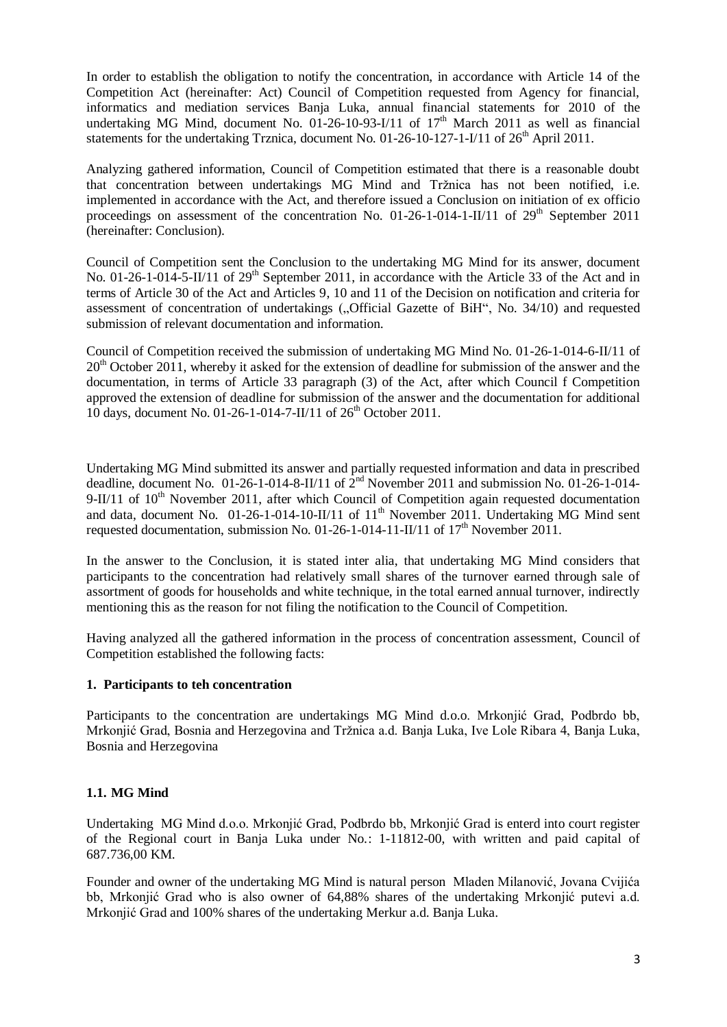In order to establish the obligation to notify the concentration, in accordance with Article 14 of the Competition Act (hereinafter: Act) Council of Competition requested from Agency for financial, informatics and mediation services Banja Luka, annual financial statements for 2010 of the undertaking MG Mind, document No.  $01-26-10-93-I/11$  of  $17<sup>th</sup>$  March 2011 as well as financial statements for the undertaking Trznica, document No.  $01-26-10-127-1-1/11$  of  $26<sup>th</sup>$  April 2011.

Analyzing gathered information, Council of Competition estimated that there is a reasonable doubt that concentration between undertakings MG Mind and Tržnica has not been notified, i.e. implemented in accordance with the Act, and therefore issued a Conclusion on initiation of ex officio proceedings on assessment of the concentration No. 01-26-1-014-1-II/11 of  $29<sup>th</sup>$  September 2011 (hereinafter: Conclusion).

Council of Competition sent the Conclusion to the undertaking MG Mind for its answer, document No. 01-26-1-014-5-II/11 of 29<sup>th</sup> September 2011, in accordance with the Article 33 of the Act and in terms of Article 30 of the Act and Articles 9, 10 and 11 of the Decision on notification and criteria for assessment of concentration of undertakings ("Official Gazette of BiH", No. 34/10) and requested submission of relevant documentation and information.

Council of Competition received the submission of undertaking MG Mind No. 01-26-1-014-6-II/11 of  $20<sup>th</sup>$  October 2011, whereby it asked for the extension of deadline for submission of the answer and the documentation, in terms of Article 33 paragraph (3) of the Act, after which Council f Competition approved the extension of deadline for submission of the answer and the documentation for additional 10 days, document No. 01-26-1-014-7-II/11 of  $26<sup>th</sup>$  October 2011.

Undertaking MG Mind submitted its answer and partially requested information and data in prescribed deadline, document No. 01-26-1-014-8-II/11 of  $2<sup>nd</sup>$  November 2011 and submission No. 01-26-1-014-9-II/11 of  $10<sup>th</sup>$  November 2011, after which Council of Competition again requested documentation and data, document No.  $01-26-1-014-10-11/11$  of  $11<sup>th</sup>$  November 2011. Undertaking MG Mind sent requested documentation, submission No. 01-26-1-014-11-II/11 of  $17<sup>th</sup>$  November 2011.

In the answer to the Conclusion, it is stated inter alia, that undertaking MG Mind considers that participants to the concentration had relatively small shares of the turnover earned through sale of assortment of goods for households and white technique, in the total earned annual turnover, indirectly mentioning this as the reason for not filing the notification to the Council of Competition.

Having analyzed all the gathered information in the process of concentration assessment, Council of Competition established the following facts:

# **1. Participants to teh concentration**

Participants to the concentration are undertakings MG Mind d.o.o. Mrkonjić Grad, Podbrdo bb, Mrkonjić Grad, Bosnia and Herzegovina and Tržnica a.d. Banja Luka, Ive Lole Ribara 4, Banja Luka, Bosnia and Herzegovina

# **1.1. MG Mind**

Undertaking MG Mind d.o.o. Mrkonjić Grad, Podbrdo bb, Mrkonjić Grad is enterd into court register of the Regional court in Banja Luka under No.: 1-11812-00, with written and paid capital of 687.736,00 KM.

Founder and owner of the undertaking MG Mind is natural person Mladen Milanović, Jovana Cvijića bb, Mrkonjić Grad who is also owner of 64,88% shares of the undertaking Mrkonjić putevi a.d. Mrkonjić Grad and 100% shares of the undertaking Merkur a.d. Banja Luka.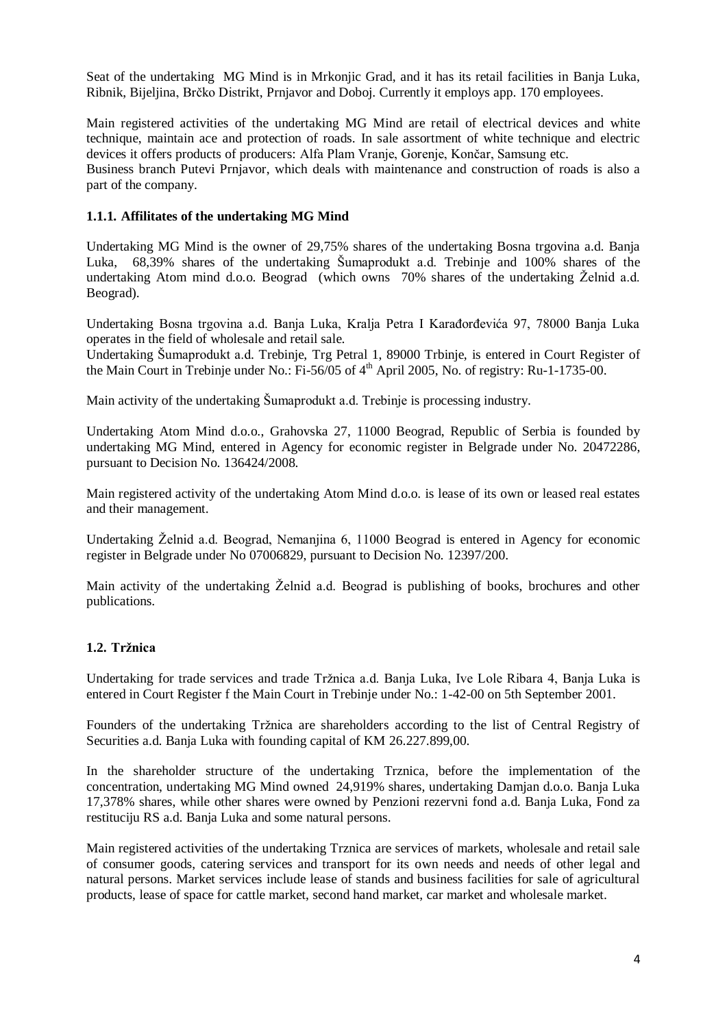Seat of the undertaking MG Mind is in Mrkonjic Grad, and it has its retail facilities in Banja Luka, Ribnik, Bijeljina, Brčko Distrikt, Prnjavor and Doboj. Currently it employs app. 170 employees.

Main registered activities of the undertaking MG Mind are retail of electrical devices and white technique, maintain ace and protection of roads. In sale assortment of white technique and electric devices it offers products of producers: Alfa Plam Vranje, Gorenje, Končar, Samsung etc.

Business branch Putevi Prnjavor, which deals with maintenance and construction of roads is also a part of the company.

## **1.1.1. Affilitates of the undertaking MG Mind**

Undertaking MG Mind is the owner of 29,75% shares of the undertaking Bosna trgovina a.d. Banja Luka, 68,39% shares of the undertaking Šumaprodukt a.d. Trebinje and 100% shares of the undertaking Atom mind d.o.o. Beograd (which owns  $70\%$  shares of the undertaking  $\check{Z}$ elnid a.d. Beograd).

Undertaking Bosna trgovina a.d. Banja Luka, Kralja Petra I Karađorđevića 97, 78000 Banja Luka operates in the field of wholesale and retail sale.

Undertaking Šumaprodukt a.d. Trebinje, Trg Petral 1, 89000 Trbinje, is entered in Court Register of the Main Court in Trebinje under No.: Fi-56/05 of 4<sup>th</sup> April 2005, No. of registry: Ru-1-1735-00.

Main activity of the undertaking Šumaprodukt a.d. Trebinje is processing industry.

Undertaking Atom Mind d.o.o., Grahovska 27, 11000 Beograd, Republic of Serbia is founded by undertaking MG Mind, entered in Agency for economic register in Belgrade under No. 20472286, pursuant to Decision No. 136424/2008.

Main registered activity of the undertaking Atom Mind d.o.o. is lease of its own or leased real estates and their management.

Undertaking Želnid a.d. Beograd, Nemanjina 6, 11000 Beograd is entered in Agency for economic register in Belgrade under No 07006829, pursuant to Decision No. 12397/200.

Main activity of the undertaking Želnid a.d. Beograd is publishing of books, brochures and other publications.

#### **1.2. Tržnica**

Undertaking for trade services and trade Tržnica a.d. Banja Luka, Ive Lole Ribara 4, Banja Luka is entered in Court Register f the Main Court in Trebinje under No.: 1-42-00 on 5th September 2001.

Founders of the undertaking Tržnica are shareholders according to the list of Central Registry of Securities a.d. Banja Luka with founding capital of KM 26.227.899,00.

In the shareholder structure of the undertaking Trznica, before the implementation of the concentration, undertaking MG Mind owned 24,919% shares, undertaking Damjan d.o.o. Banja Luka 17,378% shares, while other shares were owned by Penzioni rezervni fond a.d. Banja Luka, Fond za restituciju RS a.d. Banja Luka and some natural persons.

Main registered activities of the undertaking Trznica are services of markets, wholesale and retail sale of consumer goods, catering services and transport for its own needs and needs of other legal and natural persons. Market services include lease of stands and business facilities for sale of agricultural products, lease of space for cattle market, second hand market, car market and wholesale market.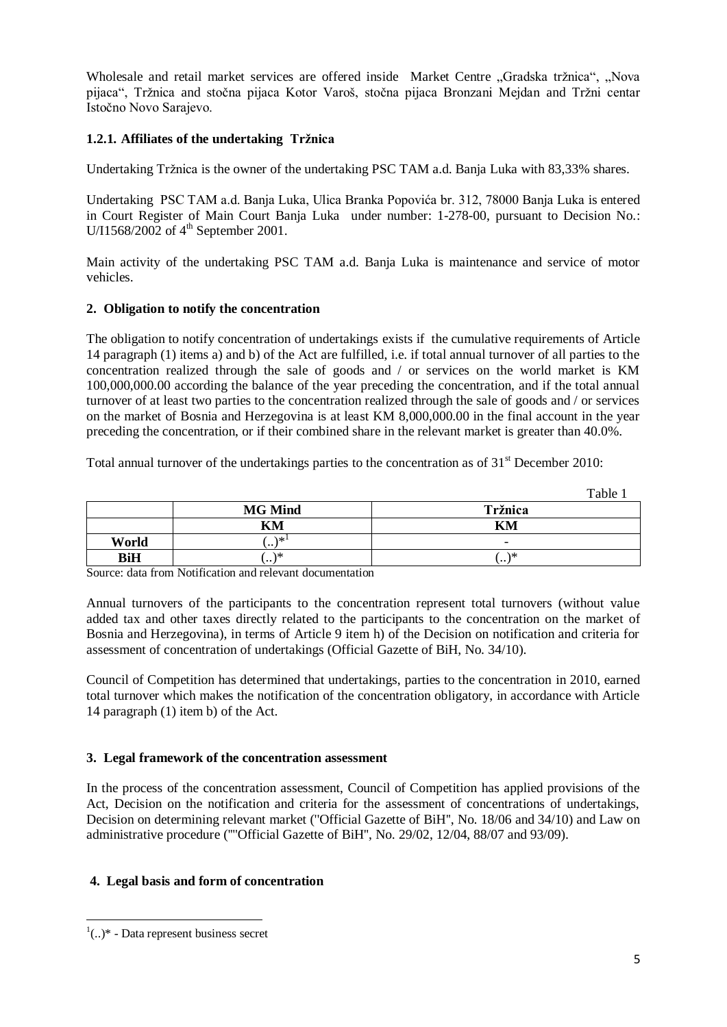Wholesale and retail market services are offered inside Market Centre "Gradska tržnica", "Nova pijaca", Tržnica and stočna pijaca Kotor Varoš, stočna pijaca Bronzani Mejdan and Tržni centar Istočno Novo Sarajevo.

# **1.2.1. Affiliates of the undertaking Tržnica**

Undertaking Tržnica is the owner of the undertaking PSC TAM a.d. Banja Luka with 83,33% shares.

Undertaking PSC TAM a.d. Banja Luka, Ulica Branka Popovića br. 312, 78000 Banja Luka is entered in Court Register of Main Court Banja Luka under number: 1-278-00, pursuant to Decision No.: U/I1568/2002 of 4<sup>th</sup> September 2001.

Main activity of the undertaking PSC TAM a.d. Banja Luka is maintenance and service of motor vehicles.

## **2. Obligation to notify the concentration**

The obligation to notify concentration of undertakings exists if the cumulative requirements of Article 14 paragraph (1) items a) and b) of the Act are fulfilled, i.e. if total annual turnover of all parties to the concentration realized through the sale of goods and / or services on the world market is KM 100,000,000.00 according the balance of the year preceding the concentration, and if the total annual turnover of at least two parties to the concentration realized through the sale of goods and / or services on the market of Bosnia and Herzegovina is at least KM 8,000,000.00 in the final account in the year preceding the concentration, or if their combined share in the relevant market is greater than 40.0%.

Total annual turnover of the undertakings parties to the concentration as of  $31<sup>st</sup>$  December 2010:

|            |                     | Table.                   |
|------------|---------------------|--------------------------|
|            | <b>MG Mind</b>      | Tržnica                  |
|            | KM                  | KM                       |
| World      | ∖∗′<br>$\cdot\cdot$ | $\overline{\phantom{0}}$ |
| <b>BiH</b> | ۱*<br>$\cdots$      | \*<br>ا ۱۰۰              |

Source: data from Notification and relevant documentation

Annual turnovers of the participants to the concentration represent total turnovers (without value added tax and other taxes directly related to the participants to the concentration on the market of Bosnia and Herzegovina), in terms of Article 9 item h) of the Decision on notification and criteria for assessment of concentration of undertakings (Official Gazette of BiH, No. 34/10).

Council of Competition has determined that undertakings, parties to the concentration in 2010, earned total turnover which makes the notification of the concentration obligatory, in accordance with Article 14 paragraph (1) item b) of the Act.

# **3. Legal framework of the concentration assessment**

In the process of the concentration assessment, Council of Competition has applied provisions of the Act, Decision on the notification and criteria for the assessment of concentrations of undertakings, Decision on determining relevant market (''Official Gazette of BiH'', No. 18/06 and 34/10) and Law on administrative procedure (''''Official Gazette of BiH'', No. 29/02, 12/04, 88/07 and 93/09).

#### **4. Legal basis and form of concentration**

**<sup>.</sup>**  $(1)$  - Data represent business secret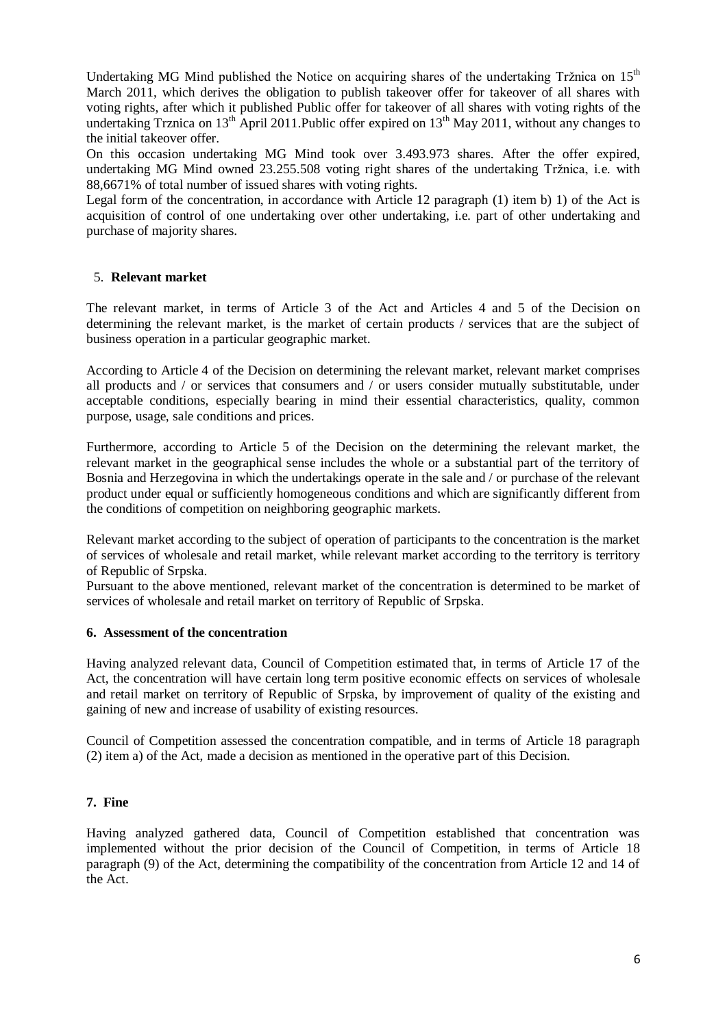Undertaking MG Mind published the Notice on acquiring shares of the undertaking Tržnica on  $15<sup>th</sup>$ March 2011, which derives the obligation to publish takeover offer for takeover of all shares with voting rights, after which it published Public offer for takeover of all shares with voting rights of the undertaking Trznica on 13<sup>th</sup> April 2011.Public offer expired on  $13<sup>th</sup>$  May 2011, without any changes to the initial takeover offer.

On this occasion undertaking MG Mind took over 3.493.973 shares. After the offer expired, undertaking MG Mind owned 23.255.508 voting right shares of the undertaking Tržnica, i.e. with 88,6671% of total number of issued shares with voting rights.

Legal form of the concentration, in accordance with Article 12 paragraph (1) item b) 1) of the Act is acquisition of control of one undertaking over other undertaking, i.e. part of other undertaking and purchase of majority shares.

## 5. **Relevant market**

The relevant market, in terms of Article 3 of the Act and Articles 4 and 5 of the Decision on determining the relevant market, is the market of certain products / services that are the subject of business operation in a particular geographic market.

According to Article 4 of the Decision on determining the relevant market, relevant market comprises all products and / or services that consumers and / or users consider mutually substitutable, under acceptable conditions, especially bearing in mind their essential characteristics, quality, common purpose, usage, sale conditions and prices.

Furthermore, according to Article 5 of the Decision on the determining the relevant market, the relevant market in the geographical sense includes the whole or a substantial part of the territory of Bosnia and Herzegovina in which the undertakings operate in the sale and / or purchase of the relevant product under equal or sufficiently homogeneous conditions and which are significantly different from the conditions of competition on neighboring geographic markets.

Relevant market according to the subject of operation of participants to the concentration is the market of services of wholesale and retail market, while relevant market according to the territory is territory of Republic of Srpska.

Pursuant to the above mentioned, relevant market of the concentration is determined to be market of services of wholesale and retail market on territory of Republic of Srpska.

### **6. Assessment of the concentration**

Having analyzed relevant data, Council of Competition estimated that, in terms of Article 17 of the Act, the concentration will have certain long term positive economic effects on services of wholesale and retail market on territory of Republic of Srpska, by improvement of quality of the existing and gaining of new and increase of usability of existing resources.

Council of Competition assessed the concentration compatible, and in terms of Article 18 paragraph (2) item a) of the Act, made a decision as mentioned in the operative part of this Decision.

#### **7. Fine**

Having analyzed gathered data, Council of Competition established that concentration was implemented without the prior decision of the Council of Competition, in terms of Article 18 paragraph (9) of the Act, determining the compatibility of the concentration from Article 12 and 14 of the Act.